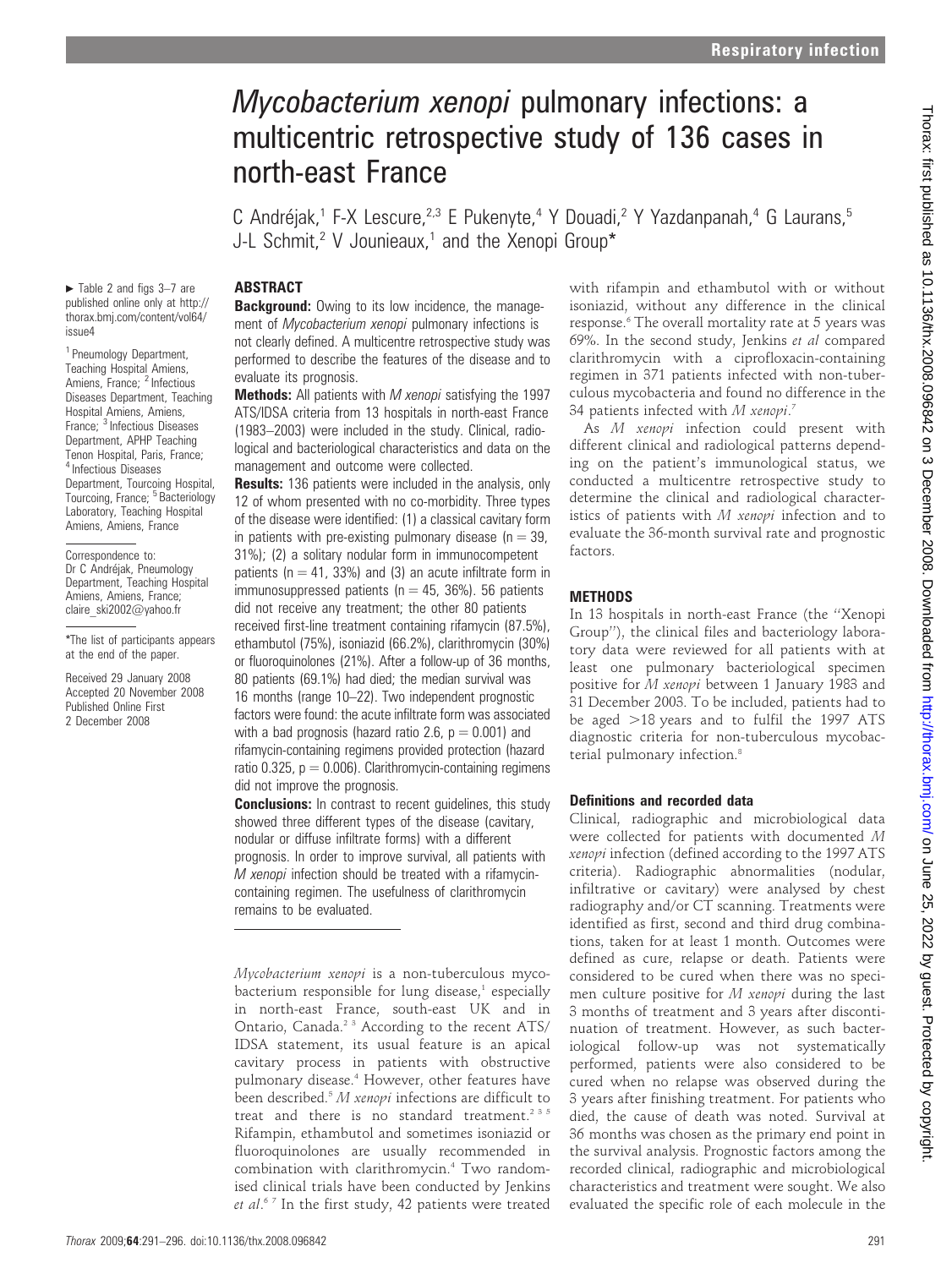# Mycobacterium xenopi pulmonary infections: a multicentric retrospective study of 136 cases in north-east France

C Andréjak,<sup>1</sup> F-X Lescure,<sup>2,3</sup> E Pukenyte,<sup>4</sup> Y Douadi,<sup>2</sup> Y Yazdanpanah,<sup>4</sup> G Laurans,<sup>5</sup> J-L Schmit,<sup>2</sup> V Jounieaux,<sup>1</sup> and the Xenopi Group\*

#### **ABSTRACT**

 $\blacktriangleright$  Table 2 and figs 3–7 are published online only at http:// thorax.bmj.com/content/vol64/ issue4

<sup>1</sup> Pneumology Department, Teaching Hospital Amiens, Amiens, France; <sup>2</sup> Infectious Diseases Department, Teaching Hospital Amiens, Amiens, France; <sup>3</sup> Infectious Diseases Department, APHP Teaching Tenon Hospital, Paris, France; <sup>4</sup> Infectious Diseases Department, Tourcoing Hospital, Tourcoing, France; <sup>5</sup> Bacteriology Laboratory, Teaching Hospital Amiens, Amiens, France

Correspondence to: Dr C Andréjak, Pneumology Department, Teaching Hospital Amiens, Amiens, France; claire\_ski2002@yahoo.fr

\*The list of participants appears at the end of the paper.

Received 29 January 2008 Accepted 20 November 2008 Published Online First 2 December 2008

**Background:** Owing to its low incidence, the management of Mycobacterium xenopi pulmonary infections is not clearly defined. A multicentre retrospective study was performed to describe the features of the disease and to evaluate its prognosis.

Methods: All patients with M xenopi satisfying the 1997 ATS/IDSA criteria from 13 hospitals in north-east France (1983–2003) were included in the study. Clinical, radiological and bacteriological characteristics and data on the management and outcome were collected.

**Results:** 136 patients were included in the analysis, only 12 of whom presented with no co-morbidity. Three types of the disease were identified: (1) a classical cavitary form in patients with pre-existing pulmonary disease ( $n = 39$ , 31%); (2) a solitary nodular form in immunocompetent patients ( $n = 41$ , 33%) and (3) an acute infiltrate form in immunosuppressed patients ( $n = 45$ , 36%). 56 patients did not receive any treatment; the other 80 patients received first-line treatment containing rifamycin (87.5%), ethambutol (75%), isoniazid (66.2%), clarithromycin (30%) or fluoroquinolones (21%). After a follow-up of 36 months, 80 patients (69.1%) had died; the median survival was 16 months (range 10–22). Two independent prognostic factors were found: the acute infiltrate form was associated with a bad prognosis (hazard ratio 2.6,  $p = 0.001$ ) and rifamycin-containing regimens provided protection (hazard ratio  $0.325$ ,  $p = 0.006$ ). Clarithromycin-containing regimens did not improve the prognosis.

**Conclusions:** In contrast to recent guidelines, this study showed three different types of the disease (cavitary, nodular or diffuse infiltrate forms) with a different prognosis. In order to improve survival, all patients with M xenopi infection should be treated with a rifamycincontaining regimen. The usefulness of clarithromycin remains to be evaluated.

Mycobacterium xenopi is a non-tuberculous mycobacterium responsible for lung disease, $1$  especially in north-east France, south-east UK and in Ontario, Canada.<sup>2 3</sup> According to the recent ATS/ IDSA statement, its usual feature is an apical cavitary process in patients with obstructive pulmonary disease.4 However, other features have been described. $5 M$  xenopi infections are difficult to treat and there is no standard treatment.<sup>235</sup> Rifampin, ethambutol and sometimes isoniazid or fluoroquinolones are usually recommended in combination with clarithromycin.4 Two randomised clinical trials have been conducted by Jenkins et al.<sup>67</sup> In the first study, 42 patients were treated

with rifampin and ethambutol with or without isoniazid, without any difference in the clinical response.<sup>6</sup> The overall mortality rate at 5 years was 69%. In the second study, Jenkins et al compared clarithromycin with a ciprofloxacin-containing regimen in 371 patients infected with non-tuberculous mycobacteria and found no difference in the 34 patients infected with M xenopi.<sup>7</sup>

As M xenopi infection could present with different clinical and radiological patterns depending on the patient's immunological status, we conducted a multicentre retrospective study to determine the clinical and radiological characteristics of patients with M xenopi infection and to evaluate the 36-month survival rate and prognostic factors.

#### METHODS

In 13 hospitals in north-east France (the ''Xenopi Group''), the clinical files and bacteriology laboratory data were reviewed for all patients with at least one pulmonary bacteriological specimen positive for M xenopi between 1 January 1983 and 31 December 2003. To be included, patients had to be aged  $>18$  years and to fulfil the 1997 ATS diagnostic criteria for non-tuberculous mycobacterial pulmonary infection.<sup>8</sup>

#### Definitions and recorded data

Clinical, radiographic and microbiological data were collected for patients with documented M xenopi infection (defined according to the 1997 ATS criteria). Radiographic abnormalities (nodular, infiltrative or cavitary) were analysed by chest radiography and/or CT scanning. Treatments were identified as first, second and third drug combinations, taken for at least 1 month. Outcomes were defined as cure, relapse or death. Patients were considered to be cured when there was no specimen culture positive for M xenopi during the last 3 months of treatment and 3 years after discontinuation of treatment. However, as such bacteriological follow-up was not systematically performed, patients were also considered to be cured when no relapse was observed during the 3 years after finishing treatment. For patients who died, the cause of death was noted. Survival at 36 months was chosen as the primary end point in the survival analysis. Prognostic factors among the recorded clinical, radiographic and microbiological characteristics and treatment were sought. We also evaluated the specific role of each molecule in the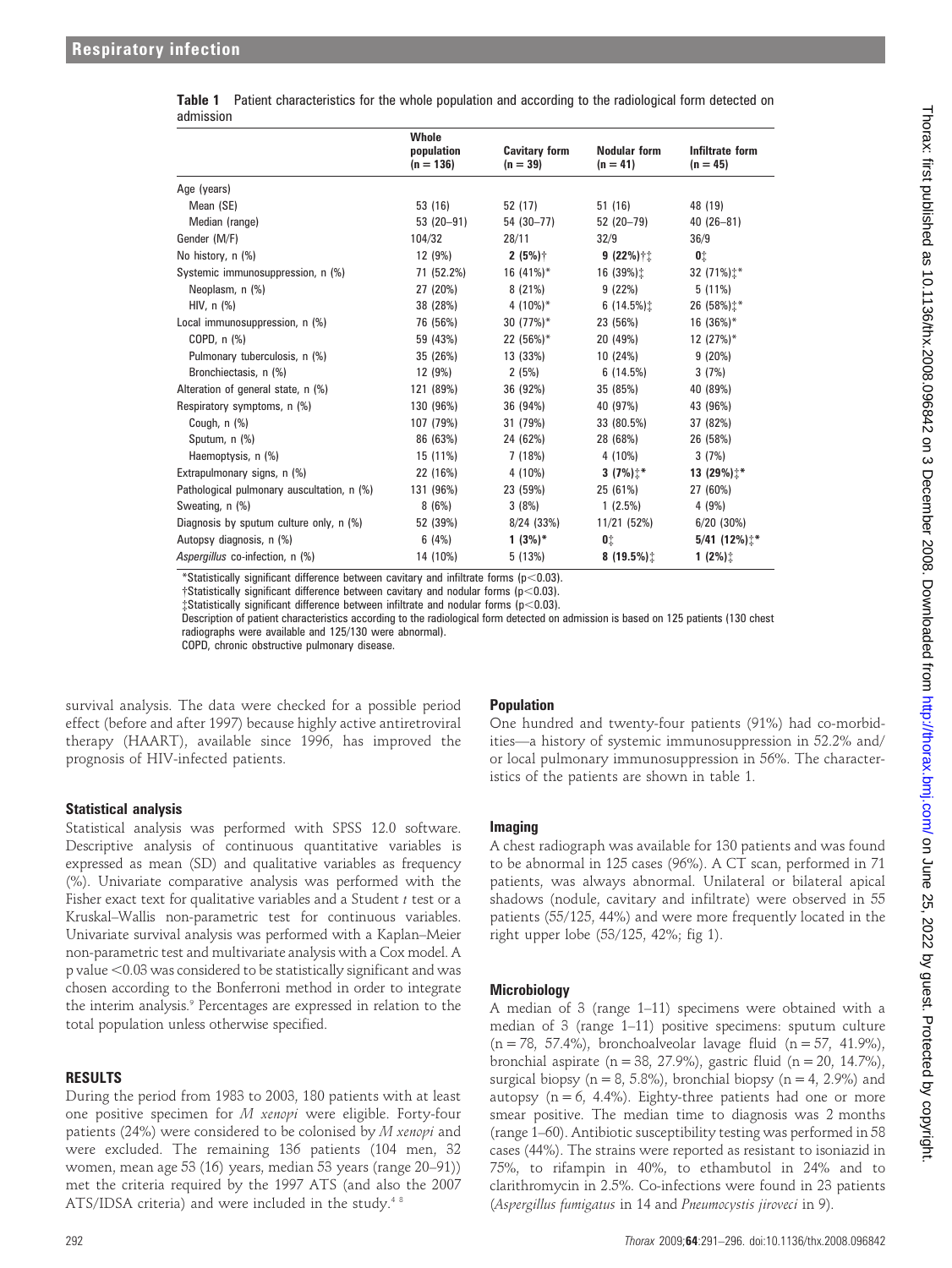| นนเเแงงเบเเ                                |                                    |                                    |                                   |                               |
|--------------------------------------------|------------------------------------|------------------------------------|-----------------------------------|-------------------------------|
|                                            | Whole<br>population<br>$(n = 136)$ | <b>Cavitary form</b><br>$(n = 39)$ | <b>Nodular form</b><br>$(n = 41)$ | Infiltrate form<br>$(n = 45)$ |
| Age (years)                                |                                    |                                    |                                   |                               |
| Mean (SE)                                  | 53 (16)                            | 52 (17)                            | 51(16)                            | 48 (19)                       |
| Median (range)                             | $53(20-91)$                        | 54 (30-77)                         | 52 (20-79)                        | $40(26 - 81)$                 |
| Gender (M/F)                               | 104/32                             | 28/11                              | 32/9                              | 36/9                          |
| No history, n (%)                          | 12 (9%)                            | $2(5%)$ †                          | $9(22%)$ ††                       | 0‡                            |
| Systemic immunosuppression, n (%)          | 71 (52.2%)                         | 16 $(41\%)^*$                      | 16 (39%):                         | 32 (71%) $\ddagger$ *         |
| Neoplasm, n (%)                            | 27 (20%)                           | 8(21%)                             | 9(22%)                            | $5(11\%)$                     |
| HIV, $n$ $%$                               | 38 (28%)                           | 4 $(10\%)^*$                       | 6(14.5%)                          | 26 (58%) $\pm$ *              |
| Local immunosuppression, n (%)             | 76 (56%)                           | 30 $(77%)^*$                       | 23 (56%)                          | $16(36\%)*$                   |
| COPD, $n$ $%$                              | 59 (43%)                           | 22 (56%)*                          | 20 (49%)                          | 12 $(27%)^*$                  |
| Pulmonary tuberculosis, n (%)              | 35 (26%)                           | 13 (33%)                           | 10 (24%)                          | 9(20%)                        |
| Bronchiectasis, n (%)                      | 12 (9%)                            | 2(5%)                              | 6(14.5%)                          | 3(7%)                         |
| Alteration of general state, n (%)         | 121 (89%)                          | 36 (92%)                           | 35 (85%)                          | 40 (89%)                      |
| Respiratory symptoms, n (%)                | 130 (96%)                          | 36 (94%)                           | 40 (97%)                          | 43 (96%)                      |
| Cough, n (%)                               | 107 (79%)                          | 31 (79%)                           | 33 (80.5%)                        | 37 (82%)                      |
| Sputum, n (%)                              | 86 (63%)                           | 24 (62%)                           | 28 (68%)                          | 26 (58%)                      |
| Haemoptysis, n (%)                         | 15 (11%)                           | 7 (18%)                            | 4 (10%)                           | 3(7%)                         |
| Extrapulmonary signs, n (%)                | 22 (16%)                           | 4 (10%)                            | 3 $(7%)$ <sup>*</sup>             | 13 (29%) $\uparrow^*$         |
| Pathological pulmonary auscultation, n (%) | 131 (96%)                          | 23 (59%)                           | 25 (61%)                          | 27 (60%)                      |
| Sweating, n (%)                            | 8(6%)                              | 3(8%)                              | $1(2.5\%)$                        | 4(9%)                         |
| Diagnosis by sputum culture only, n (%)    | 52 (39%)                           | $8/24$ (33%)                       | 11/21 (52%)                       | $6/20$ (30%)                  |
| Autopsy diagnosis, n (%)                   | 6(4%)                              | $1(3%)^*$                          | 01                                | $5/41$ (12%) $\pm$ *          |
| Aspergillus co-infection, n (%)            | 14 (10%)                           | 5(13%)                             | 8 $(19.5\%)$                      | $1(2\%)$                      |

|           | Table 1 Patient characteristics for the whole population and according to the radiological form detected on |  |  |
|-----------|-------------------------------------------------------------------------------------------------------------|--|--|
| admission |                                                                                                             |  |  |

\*Statistically significant difference between cavitary and infiltrate forms ( $p<0.03$ ).

 $\dagger$ Statistically significant difference between cavitary and nodular forms ( $p<0.03$ ).

 $\text{\texttt{t}Stationificant difference between}\$  infiltrate and nodular forms (p<0.03).

Description of patient characteristics according to the radiological form detected on admission is based on 125 patients (130 chest radiographs were available and 125/130 were abnormal).

COPD, chronic obstructive pulmonary disease.

survival analysis. The data were checked for a possible period effect (before and after 1997) because highly active antiretroviral therapy (HAART), available since 1996, has improved the prognosis of HIV-infected patients.

#### Statistical analysis

Statistical analysis was performed with SPSS 12.0 software. Descriptive analysis of continuous quantitative variables is expressed as mean (SD) and qualitative variables as frequency (%). Univariate comparative analysis was performed with the Fisher exact text for qualitative variables and a Student  $t$  test or a Kruskal–Wallis non-parametric test for continuous variables. Univariate survival analysis was performed with a Kaplan–Meier non-parametric test and multivariate analysis with a Cox model. A p value <0.03 was considered to be statistically significant and was chosen according to the Bonferroni method in order to integrate the interim analysis.<sup>9</sup> Percentages are expressed in relation to the total population unless otherwise specified.

#### RESULTS

During the period from 1983 to 2003, 180 patients with at least one positive specimen for M xenopi were eligible. Forty-four patients (24%) were considered to be colonised by M xenopi and were excluded. The remaining 136 patients (104 men, 32 women, mean age 53 (16) years, median 53 years (range 20–91)) met the criteria required by the 1997 ATS (and also the 2007 ATS/IDSA criteria) and were included in the study.<sup>48</sup>

#### **Population**

One hundred and twenty-four patients (91%) had co-morbidities—a history of systemic immunosuppression in 52.2% and/ or local pulmonary immunosuppression in 56%. The characteristics of the patients are shown in table 1.

#### Imaging

A chest radiograph was available for 130 patients and was found to be abnormal in 125 cases (96%). A CT scan, performed in 71 patients, was always abnormal. Unilateral or bilateral apical shadows (nodule, cavitary and infiltrate) were observed in 55 patients (55/125, 44%) and were more frequently located in the right upper lobe (53/125, 42%; fig 1).

#### **Microbiology**

A median of 3 (range 1–11) specimens were obtained with a median of 3 (range 1–11) positive specimens: sputum culture  $(n = 78, 57.4\%)$ , bronchoalveolar lavage fluid  $(n = 57, 41.9\%)$ , bronchial aspirate (n = 38, 27.9%), gastric fluid (n = 20, 14.7%), surgical biopsy ( $n = 8, 5.8\%$ ), bronchial biopsy ( $n = 4, 2.9\%$ ) and autopsy  $(n = 6, 4.4\%)$ . Eighty-three patients had one or more smear positive. The median time to diagnosis was 2 months (range 1–60). Antibiotic susceptibility testing was performed in 58 cases (44%). The strains were reported as resistant to isoniazid in 75%, to rifampin in 40%, to ethambutol in 24% and to clarithromycin in 2.5%. Co-infections were found in 23 patients (Aspergillus fumigatus in 14 and Pneumocystis jiroveci in 9).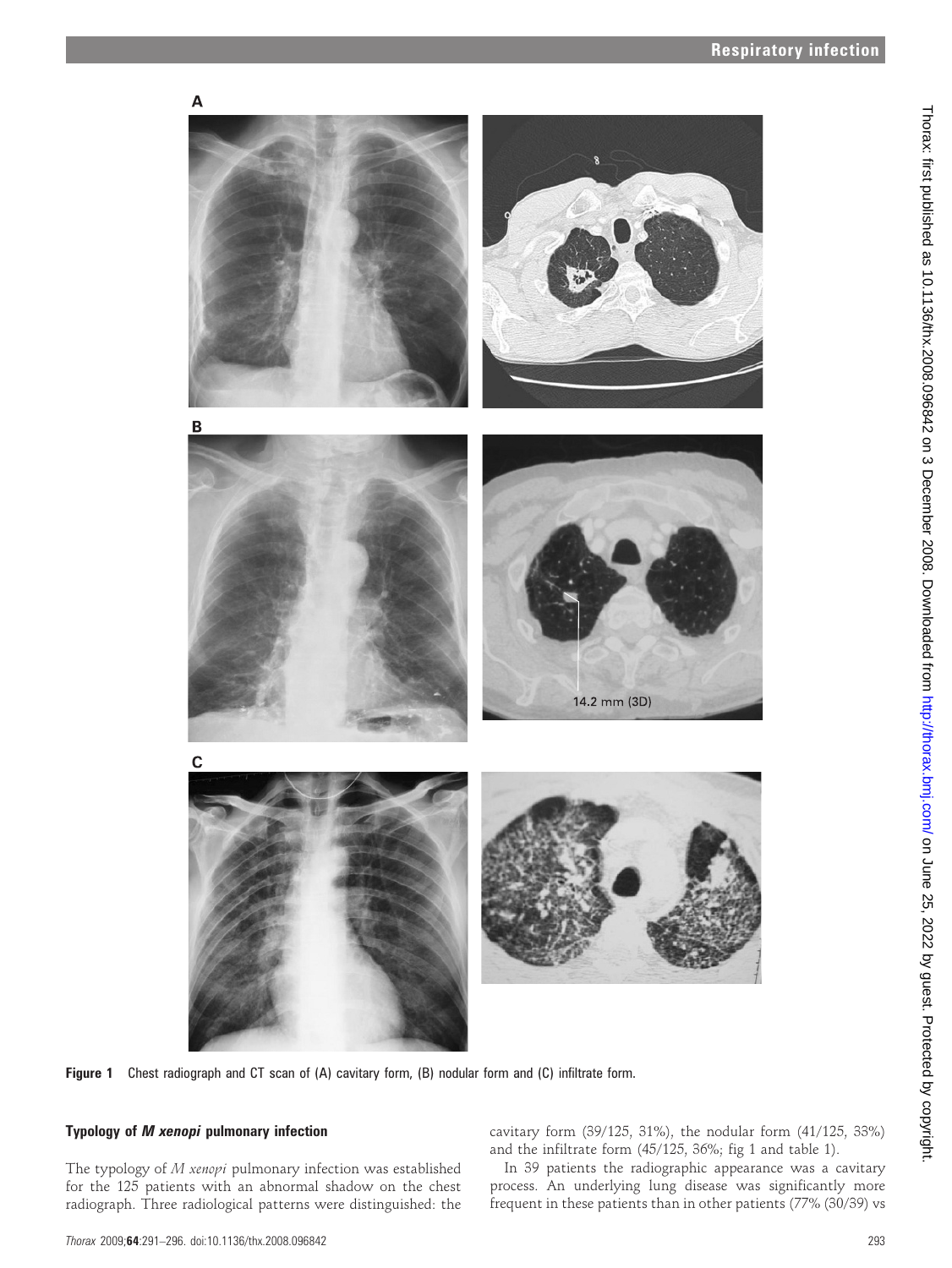

Figure 1 Chest radiograph and CT scan of (A) cavitary form, (B) nodular form and (C) infiltrate form.

### Typology of M xenopi pulmonary infection

The typology of M xenopi pulmonary infection was established for the 125 patients with an abnormal shadow on the chest radiograph. Three radiological patterns were distinguished: the cavitary form (39/125, 31%), the nodular form (41/125, 33%) and the infiltrate form (45/125, 36%; fig 1 and table 1).

In 39 patients the radiographic appearance was a cavitary process. An underlying lung disease was significantly more frequent in these patients than in other patients (77% (30/39) vs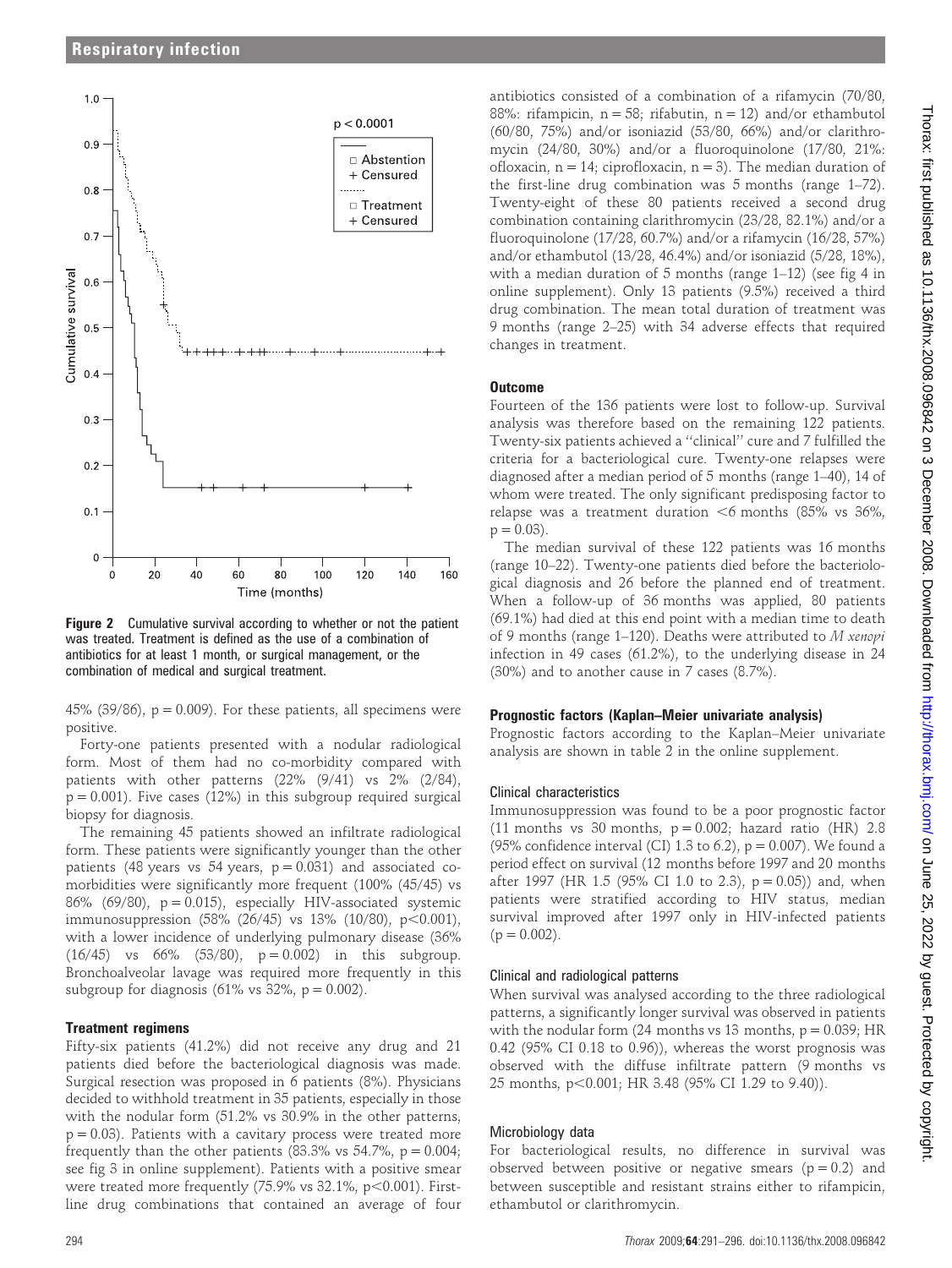

Figure 2 Cumulative survival according to whether or not the patient was treated. Treatment is defined as the use of a combination of antibiotics for at least 1 month, or surgical management, or the combination of medical and surgical treatment.

45% (39/86),  $p = 0.009$ ). For these patients, all specimens were positive.

Forty-one patients presented with a nodular radiological form. Most of them had no co-morbidity compared with patients with other patterns (22% (9/41) vs 2% (2/84),  $p = 0.001$ ). Five cases (12%) in this subgroup required surgical biopsy for diagnosis.

The remaining 45 patients showed an infiltrate radiological form. These patients were significantly younger than the other patients (48 years vs 54 years,  $p = 0.031$ ) and associated comorbidities were significantly more frequent (100% (45/45) vs 86% (69/80),  $p = 0.015$ ), especially HIV-associated systemic immunosuppression  $(58\% (26/45)$  vs 13%  $(10/80)$ , p $< 0.001$ ), with a lower incidence of underlying pulmonary disease (36%  $(16/45)$  vs  $66\%$   $(53/80)$ ,  $p = 0.002$ ) in this subgroup. Bronchoalveolar lavage was required more frequently in this subgroup for diagnosis (61% vs 32%,  $p = 0.002$ ).

#### Treatment regimens

Fifty-six patients (41.2%) did not receive any drug and 21 patients died before the bacteriological diagnosis was made. Surgical resection was proposed in 6 patients (8%). Physicians decided to withhold treatment in 35 patients, especially in those with the nodular form (51.2% vs 30.9% in the other patterns,  $p = 0.03$ ). Patients with a cavitary process were treated more frequently than the other patients (83.3% vs 54.7%,  $p = 0.004$ ; see fig 3 in online supplement). Patients with a positive smear were treated more frequently  $(75.9\% \text{ vs } 32.1\%, \text{ p} < 0.001)$ . Firstline drug combinations that contained an average of four

antibiotics consisted of a combination of a rifamycin (70/80, 88%: rifampicin,  $n = 58$ ; rifabutin,  $n = 12$ ) and/or ethambutol (60/80, 75%) and/or isoniazid (53/80, 66%) and/or clarithromycin (24/80, 30%) and/or a fluoroquinolone (17/80, 21%: ofloxacin,  $n = 14$ ; ciprofloxacin,  $n = 3$ ). The median duration of the first-line drug combination was 5 months (range 1–72). Twenty-eight of these 80 patients received a second drug combination containing clarithromycin (23/28, 82.1%) and/or a fluoroquinolone (17/28, 60.7%) and/or a rifamycin (16/28, 57%) and/or ethambutol (13/28, 46.4%) and/or isoniazid (5/28, 18%), with a median duration of 5 months (range 1–12) (see fig 4 in online supplement). Only 13 patients (9.5%) received a third drug combination. The mean total duration of treatment was 9 months (range 2–25) with 34 adverse effects that required changes in treatment.

#### **Outcome**

Fourteen of the 136 patients were lost to follow-up. Survival analysis was therefore based on the remaining 122 patients. Twenty-six patients achieved a ''clinical'' cure and 7 fulfilled the criteria for a bacteriological cure. Twenty-one relapses were diagnosed after a median period of 5 months (range 1–40), 14 of whom were treated. The only significant predisposing factor to relapse was a treatment duration  $<6$  months (85% vs 36%,  $p = 0.03$ ).

The median survival of these 122 patients was 16 months (range 10–22). Twenty-one patients died before the bacteriological diagnosis and 26 before the planned end of treatment. When a follow-up of 36 months was applied, 80 patients (69.1%) had died at this end point with a median time to death of 9 months (range 1–120). Deaths were attributed to M xenopi infection in 49 cases (61.2%), to the underlying disease in 24 (30%) and to another cause in 7 cases (8.7%).

#### Prognostic factors (Kaplan–Meier univariate analysis)

Prognostic factors according to the Kaplan–Meier univariate analysis are shown in table 2 in the online supplement.

#### Clinical characteristics

Immunosuppression was found to be a poor prognostic factor (11 months vs 30 months,  $p = 0.002$ ; hazard ratio (HR) 2.8 (95% confidence interval (CI) 1.3 to 6.2),  $p = 0.007$ ). We found a period effect on survival (12 months before 1997 and 20 months after 1997 (HR 1.5 (95% CI 1.0 to 2.3),  $p = 0.05$ )) and, when patients were stratified according to HIV status, median survival improved after 1997 only in HIV-infected patients  $(p = 0.002)$ .

#### Clinical and radiological patterns

When survival was analysed according to the three radiological patterns, a significantly longer survival was observed in patients with the nodular form  $(24$  months vs 13 months,  $p = 0.039$ ; HR 0.42 (95% CI 0.18 to 0.96)), whereas the worst prognosis was observed with the diffuse infiltrate pattern (9 months vs 25 months, p<0.001; HR 3.48 (95% CI 1.29 to 9.40)).

#### Microbiology data

For bacteriological results, no difference in survival was observed between positive or negative smears ( $p = 0.2$ ) and between susceptible and resistant strains either to rifampicin, ethambutol or clarithromycin.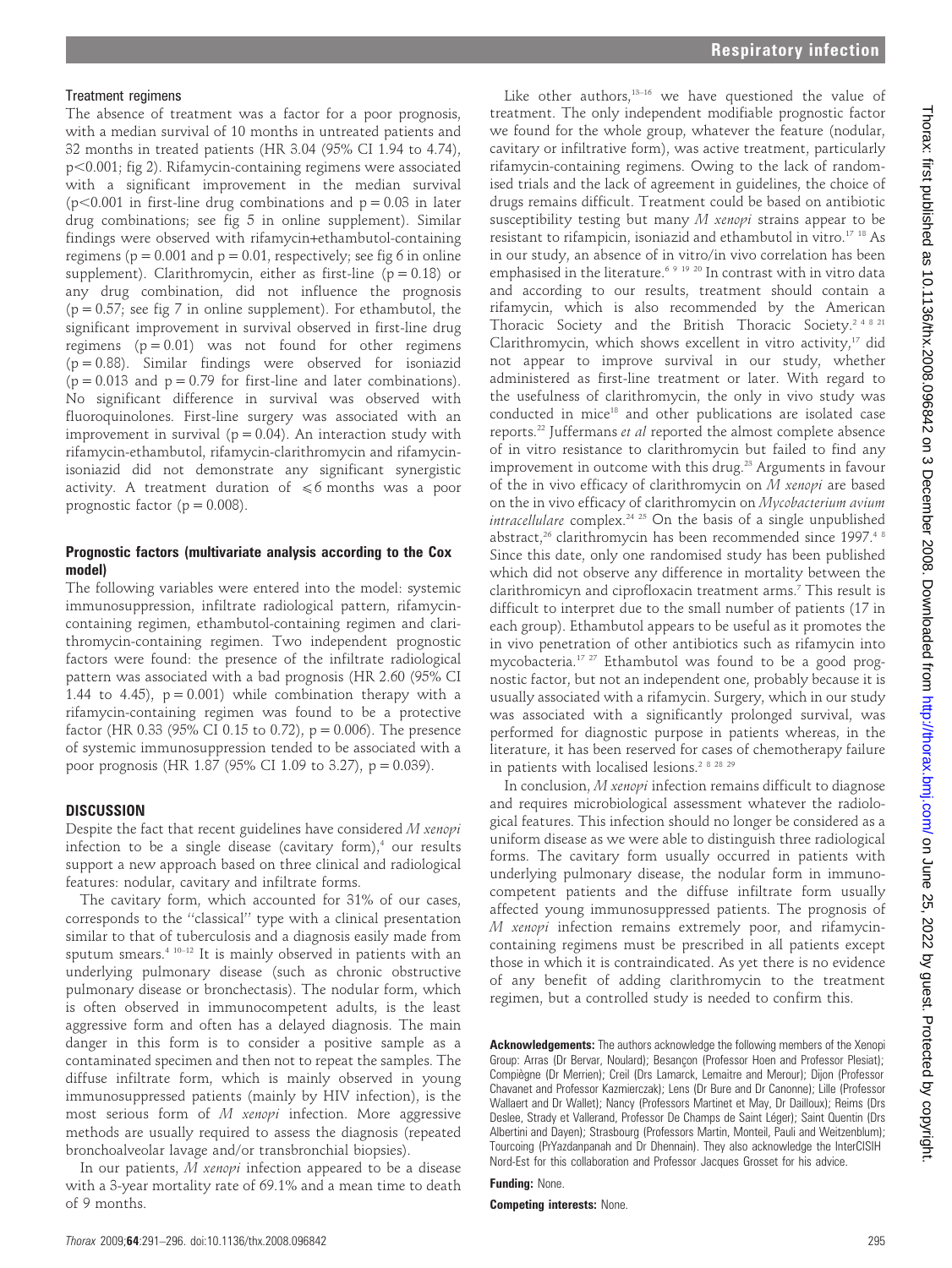#### Treatment regimens

The absence of treatment was a factor for a poor prognosis, with a median survival of 10 months in untreated patients and 32 months in treated patients (HR 3.04 (95% CI 1.94 to 4.74),  $p<0.001$ ; fig 2). Rifamycin-containing regimens were associated with a significant improvement in the median survival  $(p<0.001$  in first-line drug combinations and  $p = 0.03$  in later drug combinations; see fig 5 in online supplement). Similar findings were observed with rifamycin+ethambutol-containing regimens ( $p = 0.001$  and  $p = 0.01$ , respectively; see fig 6 in online supplement). Clarithromycin, either as first-line ( $p = 0.18$ ) or any drug combination, did not influence the prognosis  $(p = 0.57;$  see fig 7 in online supplement). For ethambutol, the significant improvement in survival observed in first-line drug regimens  $(p = 0.01)$  was not found for other regimens  $(p = 0.88)$ . Similar findings were observed for isoniazid  $(p = 0.013$  and  $p = 0.79$  for first-line and later combinations). No significant difference in survival was observed with fluoroquinolones. First-line surgery was associated with an improvement in survival ( $p = 0.04$ ). An interaction study with rifamycin-ethambutol, rifamycin-clarithromycin and rifamycinisoniazid did not demonstrate any significant synergistic activity. A treatment duration of  $\leq 6$  months was a poor prognostic factor ( $p = 0.008$ ).

#### Prognostic factors (multivariate analysis according to the Cox model)

The following variables were entered into the model: systemic immunosuppression, infiltrate radiological pattern, rifamycincontaining regimen, ethambutol-containing regimen and clarithromycin-containing regimen. Two independent prognostic factors were found: the presence of the infiltrate radiological pattern was associated with a bad prognosis (HR 2.60 (95% CI 1.44 to 4.45),  $p = 0.001$ ) while combination therapy with a rifamycin-containing regimen was found to be a protective factor (HR 0.33 (95% CI 0.15 to 0.72),  $p = 0.006$ ). The presence of systemic immunosuppression tended to be associated with a poor prognosis (HR 1.87 (95% CI 1.09 to 3.27), p = 0.039).

#### **DISCUSSION**

Despite the fact that recent guidelines have considered M xenopi infection to be a single disease (cavitary form), $4$  our results support a new approach based on three clinical and radiological features: nodular, cavitary and infiltrate forms.

The cavitary form, which accounted for 31% of our cases, corresponds to the ''classical'' type with a clinical presentation similar to that of tuberculosis and a diagnosis easily made from sputum smears.4 10–12 It is mainly observed in patients with an underlying pulmonary disease (such as chronic obstructive pulmonary disease or bronchectasis). The nodular form, which is often observed in immunocompetent adults, is the least aggressive form and often has a delayed diagnosis. The main danger in this form is to consider a positive sample as a contaminated specimen and then not to repeat the samples. The diffuse infiltrate form, which is mainly observed in young immunosuppressed patients (mainly by HIV infection), is the most serious form of M xenopi infection. More aggressive methods are usually required to assess the diagnosis (repeated bronchoalveolar lavage and/or transbronchial biopsies).

In our patients, M xenopi infection appeared to be a disease with a 3-year mortality rate of 69.1% and a mean time to death of 9 months.

Like other authors,<sup>13-16</sup> we have questioned the value of treatment. The only independent modifiable prognostic factor we found for the whole group, whatever the feature (nodular, cavitary or infiltrative form), was active treatment, particularly rifamycin-containing regimens. Owing to the lack of randomised trials and the lack of agreement in guidelines, the choice of drugs remains difficult. Treatment could be based on antibiotic susceptibility testing but many M xenopi strains appear to be resistant to rifampicin, isoniazid and ethambutol in vitro.17 18 As in our study, an absence of in vitro/in vivo correlation has been emphasised in the literature.<sup>6 9 19 20</sup> In contrast with in vitro data and according to our results, treatment should contain a rifamycin, which is also recommended by the American Thoracic Society and the British Thoracic Society.<sup>2 4 8 21</sup> Clarithromycin, which shows excellent in vitro activity,<sup>17</sup> did not appear to improve survival in our study, whether administered as first-line treatment or later. With regard to the usefulness of clarithromycin, the only in vivo study was conducted in mice<sup>18</sup> and other publications are isolated case reports.22 Juffermans et al reported the almost complete absence of in vitro resistance to clarithromycin but failed to find any improvement in outcome with this drug.<sup>23</sup> Arguments in favour of the in vivo efficacy of clarithromycin on  $M$  xenopi are based on the in vivo efficacy of clarithromycin on Mycobacterium avium intracellulare complex.<sup>24 25</sup> On the basis of a single unpublished abstract,<sup>26</sup> clarithromycin has been recommended since 1997.<sup>48</sup> Since this date, only one randomised study has been published which did not observe any difference in mortality between the clarithromicyn and ciprofloxacin treatment arms.7 This result is difficult to interpret due to the small number of patients (17 in each group). Ethambutol appears to be useful as it promotes the in vivo penetration of other antibiotics such as rifamycin into mycobacteria.17 27 Ethambutol was found to be a good prognostic factor, but not an independent one, probably because it is usually associated with a rifamycin. Surgery, which in our study was associated with a significantly prolonged survival, was performed for diagnostic purpose in patients whereas, in the literature, it has been reserved for cases of chemotherapy failure in patients with localised lesions.<sup>2 8 28 29</sup>

In conclusion, M xenopi infection remains difficult to diagnose and requires microbiological assessment whatever the radiological features. This infection should no longer be considered as a uniform disease as we were able to distinguish three radiological forms. The cavitary form usually occurred in patients with underlying pulmonary disease, the nodular form in immunocompetent patients and the diffuse infiltrate form usually affected young immunosuppressed patients. The prognosis of M xenopi infection remains extremely poor, and rifamycincontaining regimens must be prescribed in all patients except those in which it is contraindicated. As yet there is no evidence of any benefit of adding clarithromycin to the treatment regimen, but a controlled study is needed to confirm this.

Acknowledgements: The authors acknowledge the following members of the Xenopi Group: Arras (Dr Bervar, Noulard); Besançon (Professor Hoen and Professor Plesiat); Compiègne (Dr Merrien); Creil (Drs Lamarck, Lemaitre and Merour); Dijon (Professor Chavanet and Professor Kazmierczak); Lens (Dr Bure and Dr Canonne); Lille (Professor Wallaert and Dr Wallet); Nancy (Professors Martinet et May, Dr Dailloux); Reims (Drs Deslee, Strady et Vallerand, Professor De Champs de Saint Léger); Saint Quentin (Drs Albertini and Dayen); Strasbourg (Professors Martin, Monteil, Pauli and Weitzenblum); Tourcoing (PrYazdanpanah and Dr Dhennain). They also acknowledge the InterCISIH Nord-Est for this collaboration and Professor Jacques Grosset for his advice.

Funding: None.

Competing interests: None.